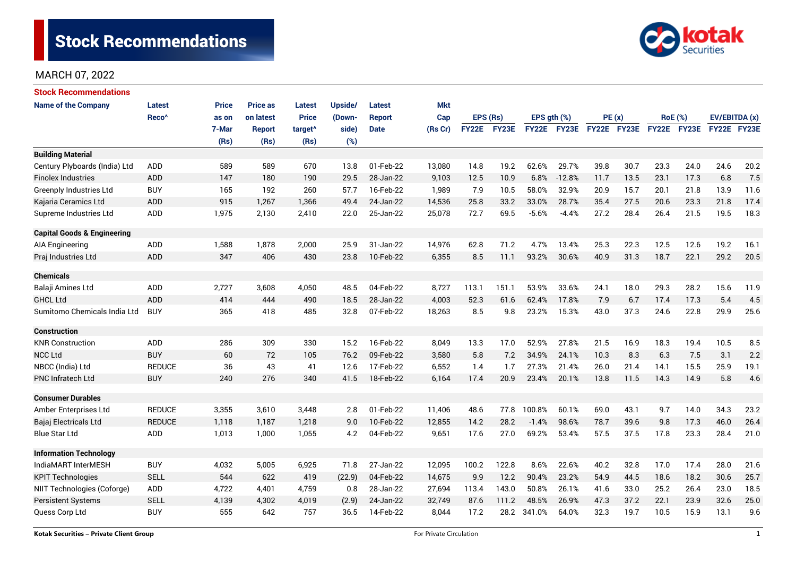

| <b>Stock Recommendations</b>           |                   |              |                 |                     |         |               |            |              |       |                  |             |             |      |                |                      |               |      |
|----------------------------------------|-------------------|--------------|-----------------|---------------------|---------|---------------|------------|--------------|-------|------------------|-------------|-------------|------|----------------|----------------------|---------------|------|
| <b>Name of the Company</b>             | <b>Latest</b>     | <b>Price</b> | <b>Price as</b> | <b>Latest</b>       | Upside/ | <b>Latest</b> | <b>Mkt</b> |              |       |                  |             |             |      |                |                      |               |      |
|                                        | Reco <sup>^</sup> | as on        | on latest       | <b>Price</b>        | (Down-  | <b>Report</b> | Cap        | EPS (Rs)     |       | EPS $gth$ $(\%)$ |             | PE(x)       |      | <b>RoE</b> (%) |                      | EV/EBITDA (x) |      |
|                                        |                   | 7-Mar        | <b>Report</b>   | target <sup>^</sup> | side)   | <b>Date</b>   | (Rs Cr)    | <b>FY22E</b> | FY23E |                  | FY22E FY23E | FY22E FY23E |      |                | FY22E FY23E          | FY22E FY23E   |      |
|                                        |                   | (Rs)         | (Rs)            | (Rs)                | (%)     |               |            |              |       |                  |             |             |      |                |                      |               |      |
| <b>Building Material</b>               |                   |              |                 |                     |         |               |            |              |       |                  |             |             |      |                |                      |               |      |
| Century Plyboards (India) Ltd          | <b>ADD</b>        | 589          | 589             | 670                 | 13.8    | 01-Feb-22     | 13,080     | 14.8         | 19.2  | 62.6%            | 29.7%       | 39.8        | 30.7 | 23.3           | 24.0                 | 24.6          | 20.2 |
| <b>Finolex Industries</b>              | <b>ADD</b>        | 147          | 180             | 190                 | 29.5    | 28-Jan-22     | 9,103      | 12.5         | 10.9  | 6.8%             | $-12.8%$    | 11.7        | 13.5 | 23.1           | 17.3                 | 6.8           | 7.5  |
| <b>Greenply Industries Ltd</b>         | <b>BUY</b>        | 165          | 192             | 260                 | 57.7    | 16-Feb-22     | 1,989      | 7.9          | 10.5  | 58.0%            | 32.9%       | 20.9        | 15.7 | 20.1           | 21.8                 | 13.9          | 11.6 |
| Kajaria Ceramics Ltd                   | <b>ADD</b>        | 915          | 1,267           | 1,366               | 49.4    | 24-Jan-22     | 14,536     | 25.8         | 33.2  | 33.0%            | 28.7%       | 35.4        | 27.5 | 20.6           | 23.3                 | 21.8          | 17.4 |
| Supreme Industries Ltd                 | <b>ADD</b>        | 1,975        | 2,130           | 2,410               | 22.0    | 25-Jan-22     | 25,078     | 72.7         | 69.5  | $-5.6%$          | $-4.4%$     | 27.2        | 28.4 | 26.4           | 21.5                 | 19.5          | 18.3 |
| <b>Capital Goods &amp; Engineering</b> |                   |              |                 |                     |         |               |            |              |       |                  |             |             |      |                |                      |               |      |
| AIA Engineering                        | <b>ADD</b>        | 1,588        | 1,878           | 2,000               | 25.9    | 31-Jan-22     | 14,976     | 62.8         | 71.2  | 4.7%             | 13.4%       | 25.3        | 22.3 | 12.5           | 12.6                 | 19.2          | 16.1 |
| Praj Industries Ltd                    | <b>ADD</b>        | 347          | 406             | 430                 | 23.8    | 10-Feb-22     | 6,355      | 8.5          | 11.1  | 93.2%            | 30.6%       | 40.9        | 31.3 | 18.7           | 22.1                 | 29.2          | 20.5 |
| <b>Chemicals</b>                       |                   |              |                 |                     |         |               |            |              |       |                  |             |             |      |                |                      |               |      |
| Balaji Amines Ltd                      | ADD               | 2,727        | 3,608           | 4,050               | 48.5    | 04-Feb-22     | 8,727      | 113.1        | 151.1 | 53.9%            | 33.6%       | 24.1        | 18.0 | 29.3           | 28.2                 | 15.6          | 11.9 |
| <b>GHCL Ltd</b>                        | <b>ADD</b>        | 414          | 444             | 490                 | 18.5    | 28-Jan-22     | 4,003      | 52.3         | 61.6  | 62.4%            | 17.8%       | 7.9         | 6.7  | 17.4           | 17.3                 | 5.4           | 4.5  |
| Sumitomo Chemicals India Ltd           | <b>BUY</b>        | 365          | 418             | 485                 | 32.8    | 07-Feb-22     | 18,263     | 8.5          | 9.8   | 23.2%            | 15.3%       | 43.0        | 37.3 | 24.6           | 22.8                 | 29.9          | 25.6 |
| <b>Construction</b>                    |                   |              |                 |                     |         |               |            |              |       |                  |             |             |      |                |                      |               |      |
| <b>KNR Construction</b>                | ADD               | 286          | 309             | 330                 | 15.2    | 16-Feb-22     | 8,049      | 13.3         | 17.0  | 52.9%            | 27.8%       | 21.5        | 16.9 | 18.3           | 19.4                 | 10.5          | 8.5  |
| <b>NCC Ltd</b>                         | <b>BUY</b>        | 60           | 72              | 105                 | 76.2    | 09-Feb-22     | 3,580      | 5.8          | 7.2   | 34.9%            | 24.1%       | 10.3        | 8.3  | 6.3            | 7.5                  | 3.1           | 2.2  |
| NBCC (India) Ltd                       | <b>REDUCE</b>     | 36           | 43              | 41                  | 12.6    | 17-Feb-22     | 6,552      | 1.4          | 1.7   | 27.3%            | 21.4%       | 26.0        | 21.4 | 14.1           | 15.5                 | 25.9          | 19.1 |
| PNC Infratech Ltd                      | <b>BUY</b>        | 240          | 276             | 340                 | 41.5    | 18-Feb-22     | 6,164      | 17.4         | 20.9  | 23.4%            | 20.1%       | 13.8        | 11.5 | 14.3           | 14.9                 | 5.8           | 4.6  |
| <b>Consumer Durables</b>               |                   |              |                 |                     |         |               |            |              |       |                  |             |             |      |                |                      |               |      |
| Amber Enterprises Ltd                  | <b>REDUCE</b>     | 3,355        | 3,610           | 3,448               | 2.8     | 01-Feb-22     | 11,406     | 48.6         | 77.8  | 100.8%           | 60.1%       | 69.0        | 43.1 | 9.7            | 14.0                 | 34.3          | 23.2 |
| Bajaj Electricals Ltd                  | <b>REDUCE</b>     | 1,118        | 1,187           | 1,218               | 9.0     | 10-Feb-22     | 12,855     | 14.2         | 28.2  | $-1.4%$          | 98.6%       | 78.7        | 39.6 | 9.8            | 17.3                 | 46.0          | 26.4 |
| <b>Blue Star Ltd</b>                   | <b>ADD</b>        | 1,013        | 1,000           | 1,055               | 4.2     | 04-Feb-22     | 9,651      | 17.6         | 27.0  | 69.2%            | 53.4%       | 57.5        | 37.5 | 17.8           | 23.3                 | 28.4          | 21.0 |
| <b>Information Technology</b>          |                   |              |                 |                     |         |               |            |              |       |                  |             |             |      |                |                      |               |      |
| IndiaMART InterMESH                    | <b>BUY</b>        | 4,032        | 5,005           | 6,925               | 71.8    | 27-Jan-22     | 12,095     | 100.2        | 122.8 | 8.6%             | 22.6%       | 40.2        | 32.8 | 17.0           | 17.4                 | 28.0          | 21.6 |
| <b>KPIT Technologies</b>               | <b>SELL</b>       | 544          | 622             | 419                 | (22.9)  | 04-Feb-22     | 14,675     | 9.9          | 12.2  | 90.4%            | 23.2%       | 54.9        | 44.5 | 18.6           | 18.2<br>30.6<br>25.7 |               |      |
| NIIT Technologies (Coforge)            | ADD               | 4,722        | 4,401           | 4,759               | 0.8     | 28-Jan-22     | 27,694     | 113.4        | 143.0 | 50.8%            | 26.1%       | 41.6        | 33.0 | 25.2           | 26.4                 | 23.0          | 18.5 |
| <b>Persistent Systems</b>              | <b>SELL</b>       | 4,139        | 4,302           | 4,019               | (2.9)   | 24-Jan-22     | 32,749     | 87.6         | 111.2 | 48.5%            | 26.9%       | 47.3        | 37.2 | 22.1           | 23.9                 | 32.6          | 25.0 |
| Quess Corp Ltd                         | <b>BUY</b>        | 555          | 642             | 757                 | 36.5    | 14-Feb-22     | 8,044      | 17.2         | 28.2  | 341.0%           | 64.0%       | 32.3        | 19.7 | 10.5           | 15.9                 | 13.1          | 9.6  |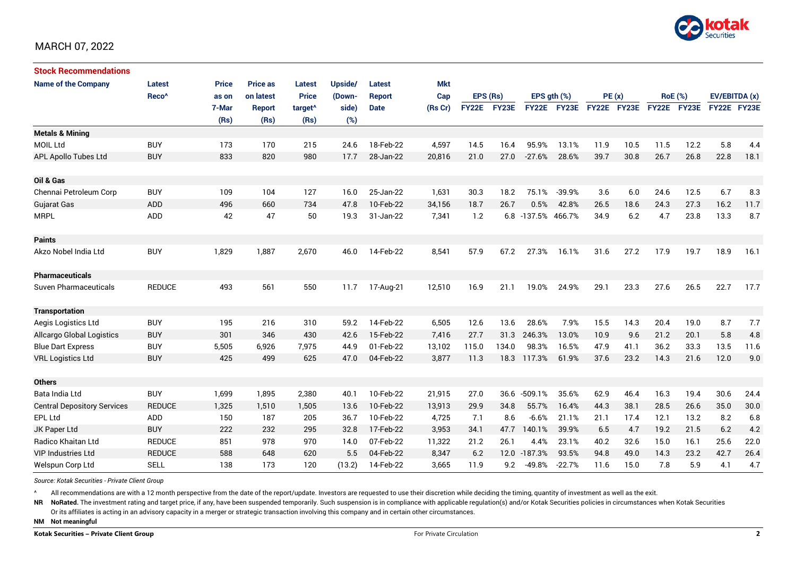

| <b>Stock Recommendations</b>       |                   |              |                 |                     |         |               |         |              |       |              |                  |             |       |      |                |             |               |  |
|------------------------------------|-------------------|--------------|-----------------|---------------------|---------|---------------|---------|--------------|-------|--------------|------------------|-------------|-------|------|----------------|-------------|---------------|--|
| <b>Name of the Company</b>         | <b>Latest</b>     | <b>Price</b> | <b>Price as</b> | <b>Latest</b>       | Upside/ | Latest        | Mkt     |              |       |              |                  |             |       |      |                |             |               |  |
|                                    | Reco <sup>^</sup> | as on        | on latest       | <b>Price</b>        | (Down-  | <b>Report</b> | Cap     | EPS (Rs)     |       |              | EPS $qth$ $(\%)$ |             | PE(x) |      | <b>RoE</b> (%) |             | EV/EBITDA (x) |  |
|                                    |                   | 7-Mar        | Report          | target <sup>^</sup> | side)   | <b>Date</b>   | (Rs Cr) | <b>FY22E</b> | FY23E |              | FY22E FY23E      | FY22E FY23E |       |      | FY22E FY23E    | FY22E FY23E |               |  |
|                                    |                   | (Rs)         | (Rs)            | (Rs)                | (%)     |               |         |              |       |              |                  |             |       |      |                |             |               |  |
| <b>Metals &amp; Mining</b>         |                   |              |                 |                     |         |               |         |              |       |              |                  |             |       |      |                |             |               |  |
| MOIL Ltd                           | <b>BUY</b>        | 173          | 170             | 215                 | 24.6    | 18-Feb-22     | 4,597   | 14.5         | 16.4  | 95.9%        | 13.1%            | 11.9        | 10.5  | 11.5 | 12.2           | 5.8         | 4.4           |  |
| APL Apollo Tubes Ltd               | <b>BUY</b>        | 833          | 820             | 980                 | 17.7    | 28-Jan-22     | 20,816  | 21.0         | 27.0  | $-27.6%$     | 28.6%            | 39.7        | 30.8  | 26.7 | 26.8           | 22.8        | 18.1          |  |
|                                    |                   |              |                 |                     |         |               |         |              |       |              |                  |             |       |      |                |             |               |  |
| Oil & Gas                          |                   |              |                 |                     |         |               |         |              |       |              |                  |             |       |      |                |             |               |  |
| Chennai Petroleum Corp             | <b>BUY</b>        | 109          | 104             | 127                 | 16.0    | 25-Jan-22     | 1,631   | 30.3         | 18.2  | 75.1%        | $-39.9%$         | 3.6         | 6.0   | 24.6 | 12.5           | 6.7         | 8.3           |  |
| <b>Gujarat Gas</b>                 | <b>ADD</b>        | 496          | 660             | 734                 | 47.8    | 10-Feb-22     | 34,156  | 18.7         | 26.7  | 0.5%         | 42.8%            | 26.5        | 18.6  | 24.3 | 27.3           | 16.2        | 11.7          |  |
| <b>MRPL</b>                        | ADD               | 42           | 47              | 50                  | 19.3    | 31-Jan-22     | 7,341   | 1.2          |       | 6.8 -137.5%  | 466.7%           | 34.9        | 6.2   | 4.7  | 23.8           | 13.3        | 8.7           |  |
| <b>Paints</b>                      |                   |              |                 |                     |         |               |         |              |       |              |                  |             |       |      |                |             |               |  |
| Akzo Nobel India Ltd               | <b>BUY</b>        | 1,829        | 1,887           | 2,670               | 46.0    | 14-Feb-22     | 8,541   | 57.9         | 67.2  | 27.3%        | 16.1%            | 31.6        | 27.2  | 17.9 | 19.7           | 18.9        | 16.1          |  |
| <b>Pharmaceuticals</b>             |                   |              |                 |                     |         |               |         |              |       |              |                  |             |       |      |                |             |               |  |
| <b>Suven Pharmaceuticals</b>       | <b>REDUCE</b>     | 493          | 561             | 550                 | 11.7    | 17-Aug-21     | 12,510  | 16.9         | 21.1  | 19.0%        | 24.9%            | 29.1        | 23.3  | 27.6 | 26.5           | 22.7        | 17.7          |  |
| <b>Transportation</b>              |                   |              |                 |                     |         |               |         |              |       |              |                  |             |       |      |                |             |               |  |
| Aegis Logistics Ltd                | <b>BUY</b>        | 195          | 216             | 310                 | 59.2    | 14-Feb-22     | 6,505   | 12.6         | 13.6  | 28.6%        | 7.9%             | 15.5        | 14.3  | 20.4 | 19.0           | 8.7         | 7.7           |  |
| Allcargo Global Logistics          | <b>BUY</b>        | 301          | 346             | 430                 | 42.6    | 15-Feb-22     | 7,416   | 27.7         | 31.3  | 246.3%       | 13.0%            | 10.9        | 9.6   | 21.2 | 20.1           | 5.8         | 4.8           |  |
| <b>Blue Dart Express</b>           | <b>BUY</b>        | 5,505        | 6,926           | 7,975               | 44.9    | 01-Feb-22     | 13,102  | 115.0        | 134.0 | 98.3%        | 16.5%            | 47.9        | 41.1  | 36.2 | 33.3           | 13.5        | 11.6          |  |
| <b>VRL Logistics Ltd</b>           | <b>BUY</b>        | 425          | 499             | 625                 | 47.0    | 04-Feb-22     | 3,877   | 11.3         | 18.3  | 117.3%       | 61.9%            | 37.6        | 23.2  | 14.3 | 21.6           | 12.0        | 9.0           |  |
|                                    |                   |              |                 |                     |         |               |         |              |       |              |                  |             |       |      |                |             |               |  |
| <b>Others</b>                      |                   |              |                 |                     |         |               |         |              |       |              |                  |             |       |      |                |             |               |  |
| Bata India Ltd                     | <b>BUY</b>        | 1,699        | 1,895           | 2,380               | 40.1    | 10-Feb-22     | 21,915  | 27.0         | 36.6  | $-509.1%$    | 35.6%            | 62.9        | 46.4  | 16.3 | 19.4           | 30.6        | 24.4          |  |
| <b>Central Depository Services</b> | <b>REDUCE</b>     | 1,325        | 1,510           | 1,505               | 13.6    | 10-Feb-22     | 13,913  | 29.9         | 34.8  | 55.7%        | 16.4%            | 44.3        | 38.1  | 28.5 | 26.6           | 35.0        | 30.0          |  |
| EPL Ltd                            | <b>ADD</b>        | 150          | 187             | 205                 | 36.7    | 10-Feb-22     | 4,725   | 7.1          | 8.6   | $-6.6%$      | 21.1%            | 21.1        | 17.4  | 12.1 | 13.2           | 8.2         | 6.8           |  |
| JK Paper Ltd                       | <b>BUY</b>        | 222          | 232             | 295                 | 32.8    | 17-Feb-22     | 3,953   | 34.1         | 47.7  | 140.1%       | 39.9%            | 6.5         | 4.7   | 19.2 | 21.5           | 6.2         | 4.2           |  |
| Radico Khaitan Ltd                 | <b>REDUCE</b>     | 851          | 978             | 970                 | 14.0    | 07-Feb-22     | 11,322  | 21.2         | 26.1  | 4.4%         | 23.1%            | 40.2        | 32.6  | 15.0 | 16.1           | 25.6        | 22.0          |  |
| <b>VIP Industries Ltd</b>          | <b>REDUCE</b>     | 588          | 648             | 620                 | 5.5     | 04-Feb-22     | 8,347   | 6.2          |       | 12.0 -187.3% | 93.5%            | 94.8        | 49.0  | 14.3 | 23.2           | 42.7        | 26.4          |  |
| Welspun Corp Ltd                   | <b>SELL</b>       | 138          | 173             | 120                 | (13.2)  | 14-Feb-22     | 3,665   | 11.9         | 9.2   | $-49.8%$     | $-22.7%$         | 11.6        | 15.0  | 7.8  | 5.9            | 4.1         | 4.7           |  |

*Source: Kotak Securities - Private Client Group*

All recommendations are with a 12 month perspective from the date of the report/update. Investors are requested to use their discretion while deciding the timing, quantity of investment as well as the exit.

NR NoRated. The investment rating and target price, if any, have been suspended temporarily. Such suspension is in compliance with applicable regulation(s) and/or Kotak Securities policies in circumstances when Kotak Secur

Or its affiliates is acting in an advisory capacity in a merger or strategic transaction involving this company and in certain other circumstances.

**NM Not meaningful**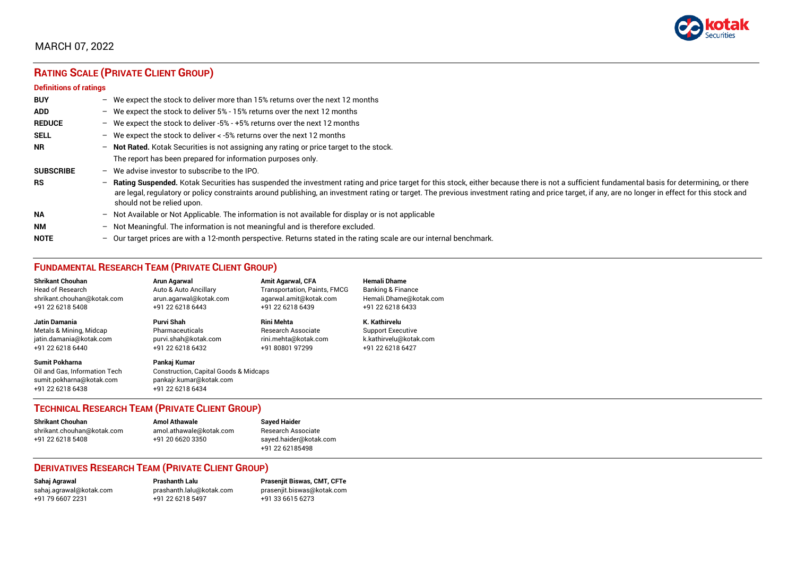

# **RATING SCALE (PRIVATE CLIENT GROUP)**

#### **Definitions of ratings**

| <b>BUY</b>       | - We expect the stock to deliver more than 15% returns over the next 12 months                                                                                                                                                                                                                                                                                                                                                     |
|------------------|------------------------------------------------------------------------------------------------------------------------------------------------------------------------------------------------------------------------------------------------------------------------------------------------------------------------------------------------------------------------------------------------------------------------------------|
| <b>ADD</b>       | - We expect the stock to deliver 5% - 15% returns over the next 12 months                                                                                                                                                                                                                                                                                                                                                          |
| <b>REDUCE</b>    | - We expect the stock to deliver -5% - +5% returns over the next 12 months                                                                                                                                                                                                                                                                                                                                                         |
| <b>SELL</b>      | - We expect the stock to deliver $\lt$ -5% returns over the next 12 months                                                                                                                                                                                                                                                                                                                                                         |
| <b>NR</b>        | - Not Rated. Kotak Securities is not assigning any rating or price target to the stock.                                                                                                                                                                                                                                                                                                                                            |
|                  | The report has been prepared for information purposes only.                                                                                                                                                                                                                                                                                                                                                                        |
| <b>SUBSCRIBE</b> | $-$ We advise investor to subscribe to the IPO.                                                                                                                                                                                                                                                                                                                                                                                    |
| <b>RS</b>        | - Rating Suspended. Kotak Securities has suspended the investment rating and price target for this stock, either because there is not a sufficient fundamental basis for determining, or there<br>are legal, regulatory or policy constraints around publishing, an investment rating or target. The previous investment rating and price target, if any, are no longer in effect for this stock and<br>should not be relied upon. |
| <b>NA</b>        | - Not Available or Not Applicable. The information is not available for display or is not applicable                                                                                                                                                                                                                                                                                                                               |
| <b>NM</b>        | - Not Meaningful. The information is not meaningful and is therefore excluded.                                                                                                                                                                                                                                                                                                                                                     |
| <b>NOTE</b>      | $-$ Our target prices are with a 12-month perspective. Returns stated in the rating scale are our internal benchmark.                                                                                                                                                                                                                                                                                                              |

## **FUNDAMENTAL RESEARCH TEAM (PRIVATE CLIENT GROUP)**

| <b>Shrikant Chouhan</b>                                                                                | <b>Arun Agarwal</b>                                                                                             | <b>Amit Agarwal, CFA</b>            | <b>Hemali Dhame</b>          |
|--------------------------------------------------------------------------------------------------------|-----------------------------------------------------------------------------------------------------------------|-------------------------------------|------------------------------|
| Head of Research                                                                                       | Auto & Auto Ancillary                                                                                           | <b>Transportation, Paints, FMCG</b> | <b>Banking &amp; Finance</b> |
| shrikant.chouhan@kotak.com                                                                             | arun.agarwal@kotak.com                                                                                          | agarwal.amit@kotak.com              | Hemali.Dhame@kotak.com       |
| +91 22 6218 5408                                                                                       | +91 22 6218 6443                                                                                                | +91 22 6218 6439                    | +91 22 6218 6433             |
| Jatin Damania                                                                                          | Purvi Shah                                                                                                      | <b>Rini Mehta</b>                   | K. Kathirvelu                |
| Metals & Mining, Midcap                                                                                | Pharmaceuticals                                                                                                 | Research Associate                  | <b>Support Executive</b>     |
| jatin.damania@kotak.com                                                                                | purvi.shah@kotak.com                                                                                            | rini.mehta@kotak.com                | k.kathirvelu@kotak.com       |
| +91 22 6218 6440                                                                                       | +91 22 6218 6432                                                                                                | +91 80801 97299                     | +91 22 6218 6427             |
| <b>Sumit Pokharna</b><br>Oil and Gas. Information Tech<br>sumit.pokharna@kotak.com<br>+91 22 6218 6438 | Pankaj Kumar<br><b>Construction, Capital Goods &amp; Midcaps</b><br>pankajr.kumar@kotak.com<br>+91 22 6218 6434 |                                     |                              |

## **TECHNICAL RESEARCH TEAM (PRIVATE CLIENT GROUP)**

| <b>Shrikant Chouhan</b>    | <b>Amol Athawale</b>    |  |
|----------------------------|-------------------------|--|
| shrikant.chouhan@kotak.com | amol.athawale@kotak.com |  |
| +91 22 6218 5408           | +91 20 6620 3350        |  |
|                            |                         |  |

#### **Sayed Haider** Research Associate [sayed.haider@kotak.com](mailto:sayed.haider@kotak.com) +91 22 62185498

## **DERIVATIVES RESEARCH TEAM (PRIVATE CLIENT GROUP)**

+91 22 6218 5497 +91 33 6615 6273

**Sahaj Agrawal Prashanth Lalu Prasenjit Biswas, CMT, CFTe** [sahaj.agrawal@kotak.com](mailto:sahaj.agrawal@kotak.com) [prashanth.lalu@kotak.com](mailto:prashanth.lalu@kotak.com) [prasenjit.biswas@kotak.com](mailto:prasenjit.biswas@kotak.com)